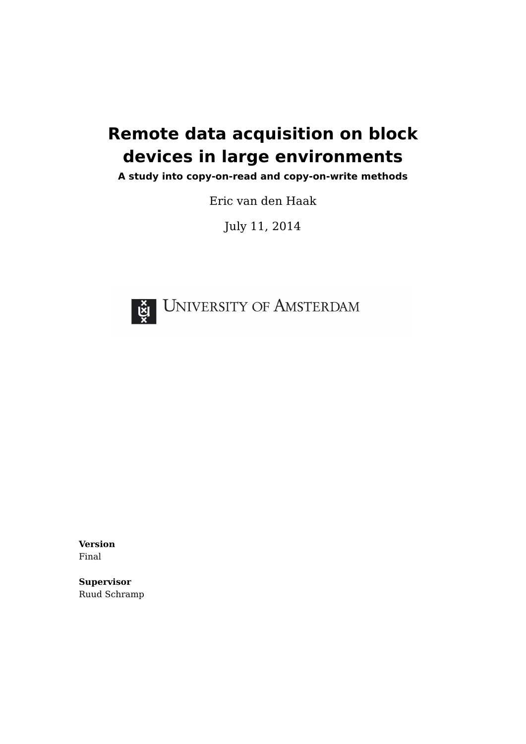# <span id="page-0-0"></span>**Remote data acquisition on block devices in large environments**

**A study into copy-on-read and copy-on-write methods**

Eric van den Haak

July 11, 2014



**Version** Final

**Supervisor** Ruud Schramp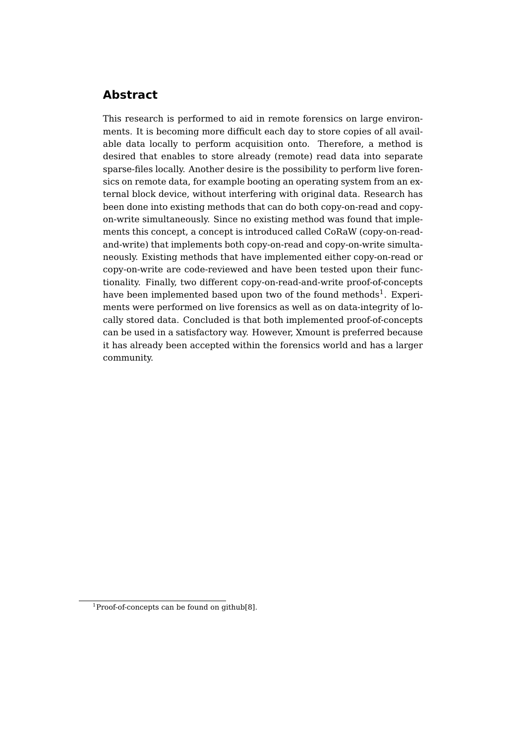# **Abstract**

This research is performed to aid in remote forensics on large environments. It is becoming more difficult each day to store copies of all available data locally to perform acquisition onto. Therefore, a method is desired that enables to store already (remote) read data into separate sparse-files locally. Another desire is the possibility to perform live forensics on remote data, for example booting an operating system from an external block device, without interfering with original data. Research has been done into existing methods that can do both copy-on-read and copyon-write simultaneously. Since no existing method was found that implements this concept, a concept is introduced called CoRaW (copy-on-readand-write) that implements both copy-on-read and copy-on-write simultaneously. Existing methods that have implemented either copy-on-read or copy-on-write are code-reviewed and have been tested upon their functionality. Finally, two different copy-on-read-and-write proof-of-concepts have been implemented based upon two of the found methods $^1$  $^1$ . Experiments were performed on live forensics as well as on data-integrity of locally stored data. Concluded is that both implemented proof-of-concepts can be used in a satisfactory way. However, Xmount is preferred because it has already been accepted within the forensics world and has a larger community.

 $1^1$ Proof-of-concepts can be found on github[\[8\]](#page-29-0).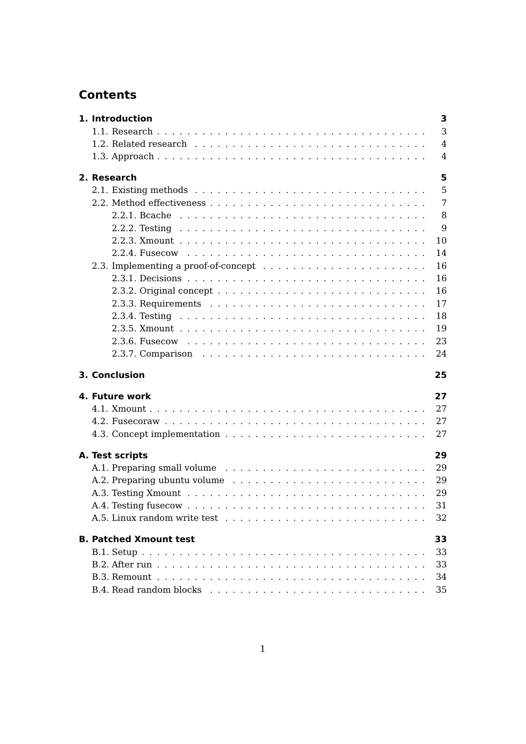# **Contents**

| 1. Introduction               | 3              |
|-------------------------------|----------------|
|                               | 3              |
|                               | $\overline{4}$ |
|                               | $\overline{4}$ |
| 2. Research                   | 5              |
|                               | 5              |
|                               | 7              |
|                               | 8              |
|                               | 9              |
|                               | 10             |
|                               | 14             |
|                               | 16             |
|                               | 16             |
|                               | 16             |
|                               | 17             |
|                               | 18             |
|                               | 19             |
|                               | 23             |
|                               | 24             |
| 3. Conclusion                 | 25             |
| 4. Future work                | 27             |
|                               | 27             |
|                               | 27             |
|                               | 27             |
| A. Test scripts               | 29             |
|                               | 29             |
|                               | 29             |
|                               | 29             |
|                               | 31             |
|                               | 32             |
| <b>B. Patched Xmount test</b> | 33             |
|                               | 33             |
|                               | 33             |
|                               | 34             |
|                               | 35             |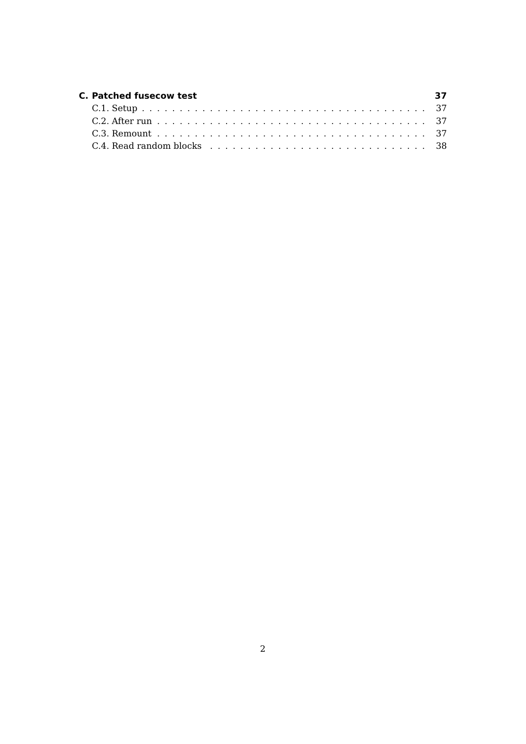| C. Patched fusecow test | 37 |
|-------------------------|----|
|                         |    |
|                         |    |
|                         |    |
|                         |    |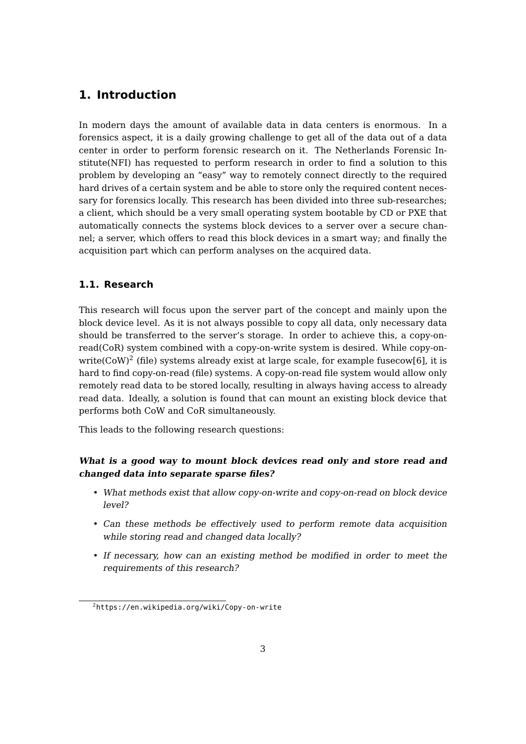# <span id="page-4-0"></span>**1. Introduction**

In modern days the amount of available data in data centers is enormous. In a forensics aspect, it is a daily growing challenge to get all of the data out of a data center in order to perform forensic research on it. The Netherlands Forensic Institute(NFI) has requested to perform research in order to find a solution to this problem by developing an "easy" way to remotely connect directly to the required hard drives of a certain system and be able to store only the required content necessary for forensics locally. This research has been divided into three sub-researches; a client, which should be a very small operating system bootable by CD or PXE that automatically connects the systems block devices to a server over a secure channel; a server, which offers to read this block devices in a smart way; and finally the acquisition part which can perform analyses on the acquired data.

### <span id="page-4-1"></span>**1.1. Research**

This research will focus upon the server part of the concept and mainly upon the block device level. As it is not always possible to copy all data, only necessary data should be transferred to the server's storage. In order to achieve this, a copy-onread(CoR) system combined with a copy-on-write system is desired. While copy-on-write(CoW)<sup>[2](#page-0-0)</sup> (file) systems already exist at large scale, for example fusecow[\[6\]](#page-29-1), it is hard to find copy-on-read (file) systems. A copy-on-read file system would allow only remotely read data to be stored locally, resulting in always having access to already read data. Ideally, a solution is found that can mount an existing block device that performs both CoW and CoR simultaneously.

This leads to the following research questions:

### **What is a good way to mount block devices read only and store read and changed data into separate sparse files?**

- What methods exist that allow copy-on-write and copy-on-read on block device level?
- Can these methods be effectively used to perform remote data acquisition while storing read and changed data locally?
- If necessary, how can an existing method be modified in order to meet the requirements of this research?

 $^{2}$ <https://en.wikipedia.org/wiki/Copy-on-write>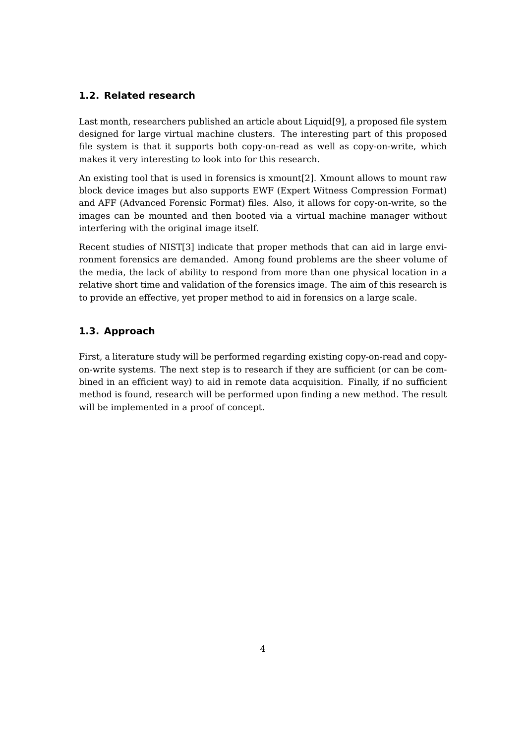### <span id="page-5-0"></span>**1.2. Related research**

Last month, researchers published an article about Liquid[\[9\]](#page-29-2), a proposed file system designed for large virtual machine clusters. The interesting part of this proposed file system is that it supports both copy-on-read as well as copy-on-write, which makes it very interesting to look into for this research.

An existing tool that is used in forensics is xmount[\[2\]](#page-29-3). Xmount allows to mount raw block device images but also supports EWF (Expert Witness Compression Format) and AFF (Advanced Forensic Format) files. Also, it allows for copy-on-write, so the images can be mounted and then booted via a virtual machine manager without interfering with the original image itself.

Recent studies of NIST[\[3\]](#page-29-4) indicate that proper methods that can aid in large environment forensics are demanded. Among found problems are the sheer volume of the media, the lack of ability to respond from more than one physical location in a relative short time and validation of the forensics image. The aim of this research is to provide an effective, yet proper method to aid in forensics on a large scale.

### <span id="page-5-1"></span>**1.3. Approach**

First, a literature study will be performed regarding existing copy-on-read and copyon-write systems. The next step is to research if they are sufficient (or can be combined in an efficient way) to aid in remote data acquisition. Finally, if no sufficient method is found, research will be performed upon finding a new method. The result will be implemented in a proof of concept.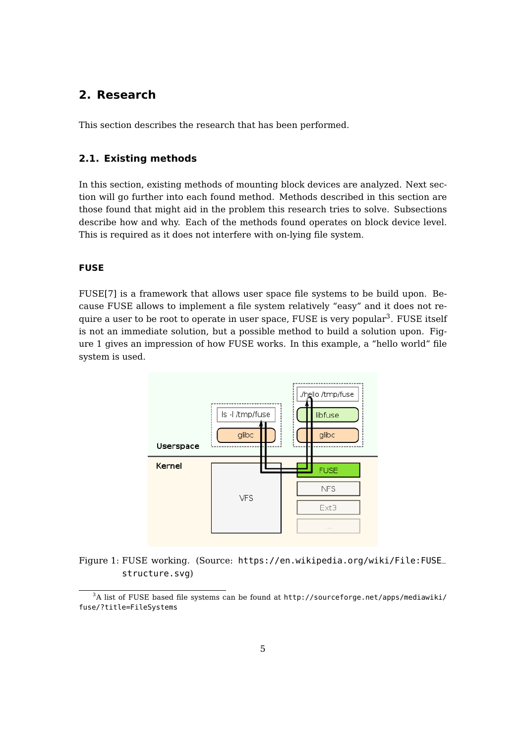# <span id="page-6-0"></span>**2. Research**

This section describes the research that has been performed.

#### <span id="page-6-1"></span>**2.1. Existing methods**

In this section, existing methods of mounting block devices are analyzed. Next section will go further into each found method. Methods described in this section are those found that might aid in the problem this research tries to solve. Subsections describe how and why. Each of the methods found operates on block device level. This is required as it does not interfere with on-lying file system.

#### **FUSE**

FUSE[\[7\]](#page-29-5) is a framework that allows user space file systems to be build upon. Because FUSE allows to implement a file system relatively "easy" and it does not re-quire a user to be root to operate in user space, FUSE is very popular<sup>[3](#page-0-0)</sup>. FUSE itself is not an immediate solution, but a possible method to build a solution upon. Figure [1](#page-6-2) gives an impression of how FUSE works. In this example, a "hello world" file system is used.

<span id="page-6-2"></span>

Figure 1: FUSE working. (Source: [https://en.wikipedia.org/wiki/File:FUSE\\_](https://en.wikipedia.org/wiki/File:FUSE_structure.svg) [structure.svg](https://en.wikipedia.org/wiki/File:FUSE_structure.svg))

 $3A$  list of FUSE based file systems can be found at [http://sourceforge.net/apps/mediawiki/](http://sourceforge.net/apps/mediawiki/fuse/?title=FileSystems) [fuse/?title=FileSystems](http://sourceforge.net/apps/mediawiki/fuse/?title=FileSystems)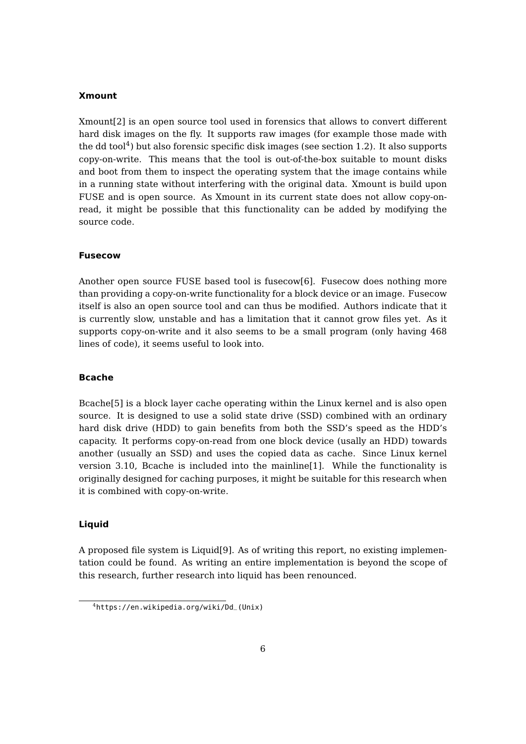#### <span id="page-7-0"></span>**Xmount**

Xmount[\[2\]](#page-29-3) is an open source tool used in forensics that allows to convert different hard disk images on the fly. It supports raw images (for example those made with the dd tool<sup>[4](#page-0-0)</sup>) but also forensic specific disk images (see section [1.2\)](#page-5-0). It also supports copy-on-write. This means that the tool is out-of-the-box suitable to mount disks and boot from them to inspect the operating system that the image contains while in a running state without interfering with the original data. Xmount is build upon FUSE and is open source. As Xmount in its current state does not allow copy-onread, it might be possible that this functionality can be added by modifying the source code.

#### <span id="page-7-1"></span>**Fusecow**

Another open source FUSE based tool is fusecow[\[6\]](#page-29-1). Fusecow does nothing more than providing a copy-on-write functionality for a block device or an image. Fusecow itself is also an open source tool and can thus be modified. Authors indicate that it is currently slow, unstable and has a limitation that it cannot grow files yet. As it supports copy-on-write and it also seems to be a small program (only having 468 lines of code), it seems useful to look into.

#### **Bcache**

Bcache[\[5\]](#page-29-6) is a block layer cache operating within the Linux kernel and is also open source. It is designed to use a solid state drive (SSD) combined with an ordinary hard disk drive (HDD) to gain benefits from both the SSD's speed as the HDD's capacity. It performs copy-on-read from one block device (usally an HDD) towards another (usually an SSD) and uses the copied data as cache. Since Linux kernel version 3.10, Bcache is included into the mainline[\[1\]](#page-29-7). While the functionality is originally designed for caching purposes, it might be suitable for this research when it is combined with copy-on-write.

#### **Liquid**

A proposed file system is Liquid[\[9\]](#page-29-2). As of writing this report, no existing implementation could be found. As writing an entire implementation is beyond the scope of this research, further research into liquid has been renounced.

<sup>4</sup> [https://en.wikipedia.org/wiki/Dd\\_\(Unix\)](https://en.wikipedia.org/wiki/Dd_(Unix))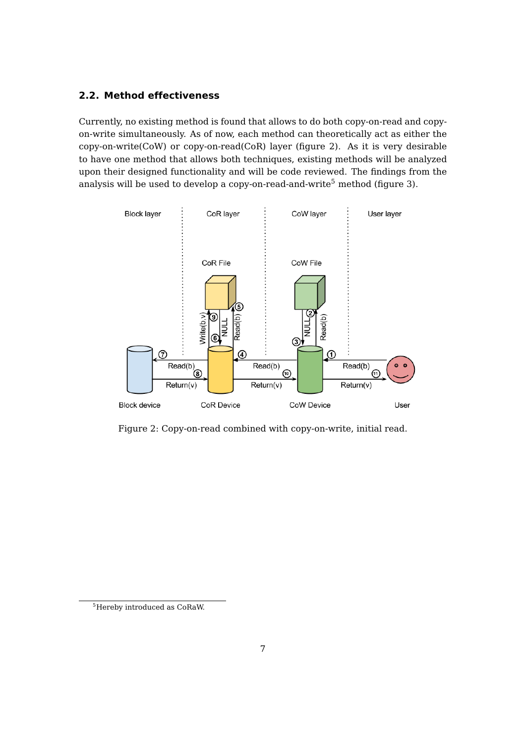### <span id="page-8-0"></span>**2.2. Method effectiveness**

Currently, no existing method is found that allows to do both copy-on-read and copyon-write simultaneously. As of now, each method can theoretically act as either the copy-on-write(CoW) or copy-on-read(CoR) layer (figure [2\)](#page-8-1). As it is very desirable to have one method that allows both techniques, existing methods will be analyzed upon their designed functionality and will be code reviewed. The findings from the analysis will be used to develop a copy-on-read-and-write<sup>[5](#page-0-0)</sup> method (figure [3\)](#page-9-1).

<span id="page-8-1"></span>

Figure 2: Copy-on-read combined with copy-on-write, initial read.

<sup>5</sup>Hereby introduced as CoRaW.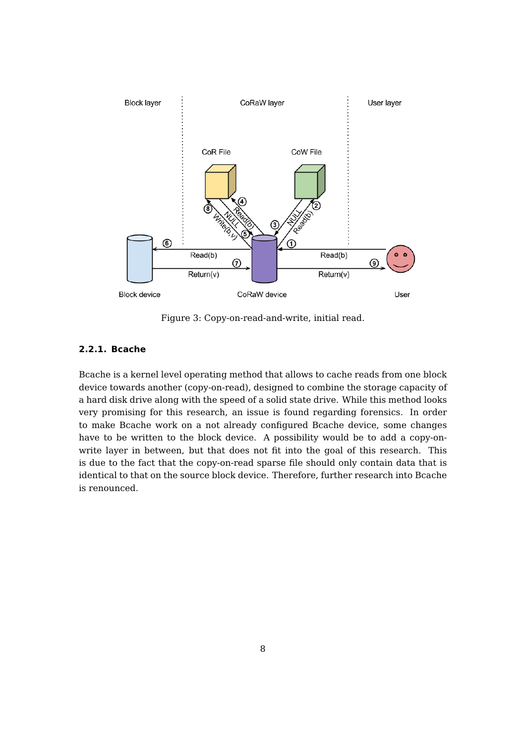<span id="page-9-1"></span>

Figure 3: Copy-on-read-and-write, initial read.

#### <span id="page-9-0"></span>**2.2.1. Bcache**

Bcache is a kernel level operating method that allows to cache reads from one block device towards another (copy-on-read), designed to combine the storage capacity of a hard disk drive along with the speed of a solid state drive. While this method looks very promising for this research, an issue is found regarding forensics. In order to make Bcache work on a not already configured Bcache device, some changes have to be written to the block device. A possibility would be to add a copy-onwrite layer in between, but that does not fit into the goal of this research. This is due to the fact that the copy-on-read sparse file should only contain data that is identical to that on the source block device. Therefore, further research into Bcache is renounced.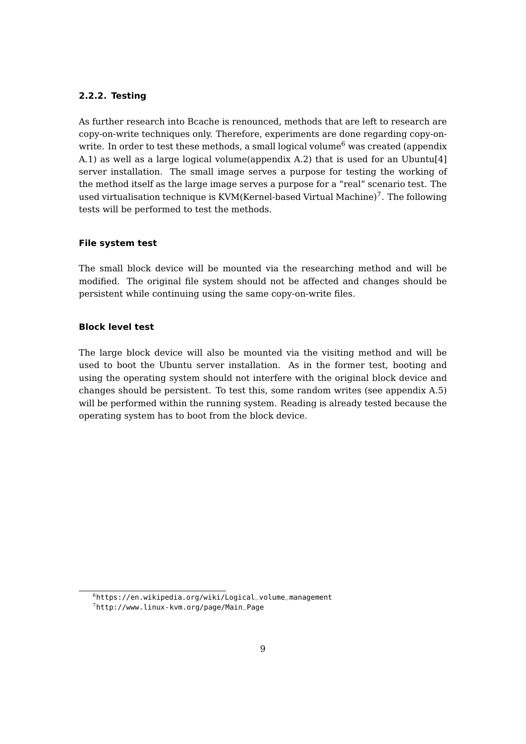#### <span id="page-10-0"></span>**2.2.2. Testing**

As further research into Bcache is renounced, methods that are left to research are copy-on-write techniques only. Therefore, experiments are done regarding copy-on-write. In order to test these methods, a small logical volume<sup>[6](#page-0-0)</sup> was created (appendix [A.1\)](#page-30-1) as well as a large logical volume(appendix [A.2\)](#page-30-2) that is used for an Ubuntu[\[4\]](#page-29-8) server installation. The small image serves a purpose for testing the working of the method itself as the large image serves a purpose for a "real" scenario test. The used virtualisation technique is KVM(Kernel-based Virtual Machine) $^7$  $^7$ . The following tests will be performed to test the methods.

#### **File system test**

The small block device will be mounted via the researching method and will be modified. The original file system should not be affected and changes should be persistent while continuing using the same copy-on-write files.

#### **Block level test**

The large block device will also be mounted via the visiting method and will be used to boot the Ubuntu server installation. As in the former test, booting and using the operating system should not interfere with the original block device and changes should be persistent. To test this, some random writes (see appendix [A.5\)](#page-33-0) will be performed within the running system. Reading is already tested because the operating system has to boot from the block device.

 $^6$ [https://en.wikipedia.org/wiki/Logical\\_volume\\_management](https://en.wikipedia.org/wiki/Logical_volume_management) 7 [http://www.linux-kvm.org/page/Main\\_Page](http://www.linux-kvm.org/page/Main_Page)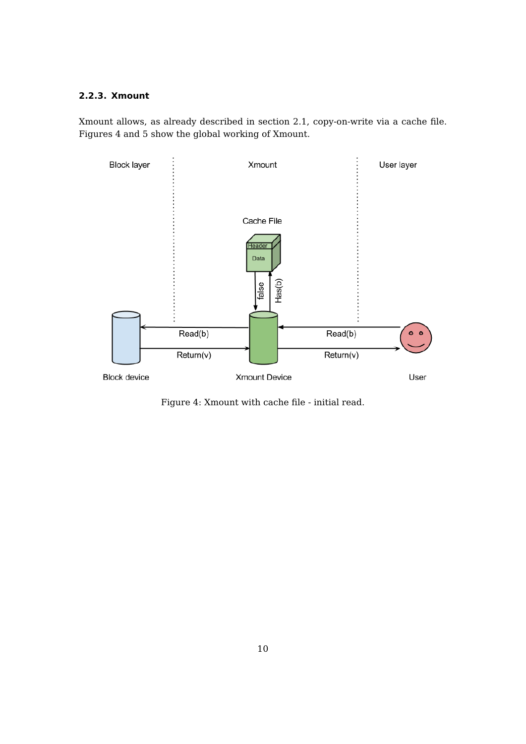### <span id="page-11-0"></span>**2.2.3. Xmount**

Xmount allows, as already described in section [2.1,](#page-7-0) copy-on-write via a cache file. Figures [4](#page-11-1) and [5](#page-12-0) show the global working of Xmount.

<span id="page-11-1"></span>

Figure 4: Xmount with cache file - initial read.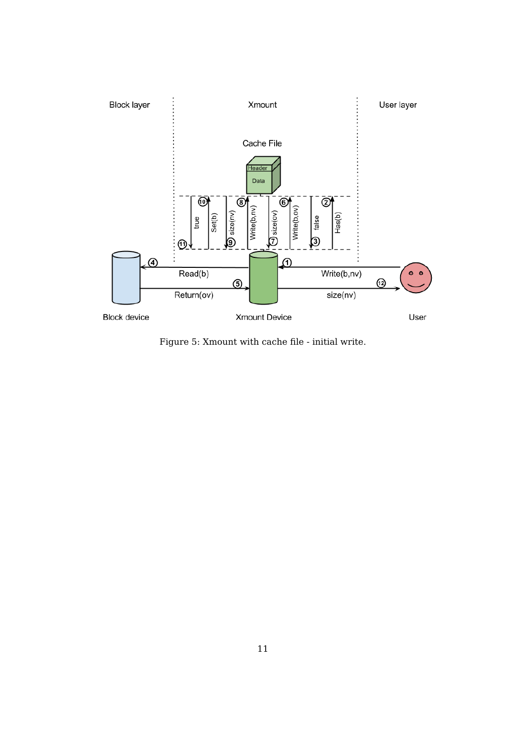<span id="page-12-0"></span>

Figure 5: Xmount with cache file - initial write.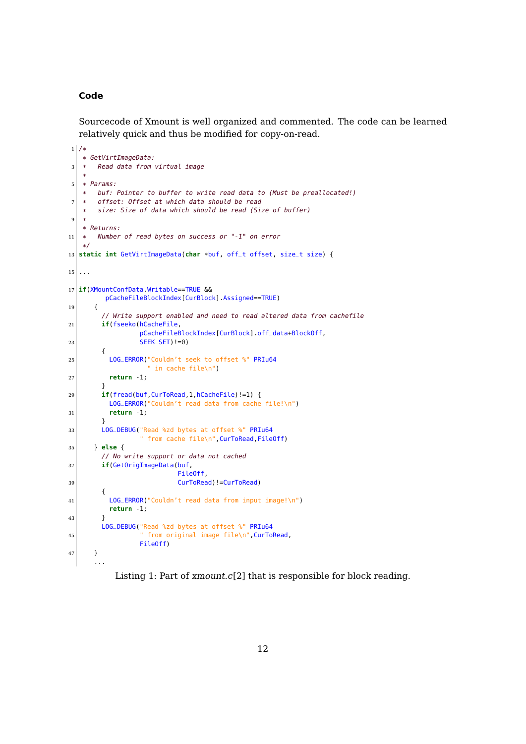#### **Code**

Sourcecode of Xmount is well organized and commented. The code can be learned relatively quick and thus be modified for copy-on-read.

```
1 / ** GetVirtImageData:
3 \times Read data from virtual image
   *
 5 * Params:
   * buf: Pointer to buffer to write read data to (Must be preallocated!)
      offset: Offset at which data should be read
      size: Size of data which should be read (Size of buffer)
9 *
   * Returns:
11 * Number of read bytes on success or "-1" on error
   */
13 static int GetVirtImageData(char *buf, off_t offset, size_t size) {
15 ...
17 if(XMountConfData.Writable==TRUE &&
        pCacheFileBlockIndex[CurBlock].Assigned==TRUE)
19 {
        // Write support enabled and need to read altered data from cachefile
21 if(fseeko(hCacheFile,
                 pCacheFileBlockIndex[CurBlock].off_data+BlockOff,
23 SEEK_SET)!=0)
        {
25 LOG_ERROR("Couldn't seek to offset %" PRIu64
                   " in cache file\n")
27 return -1;
        }
29 if(fread(buf,CurToRead,1,hCacheFile)!=1) {
         LOG_ERROR("Couldn't read data from cache file!\n")
31 return -1;
        }
33 LOG_DEBUG("Read %zd bytes at offset %" PRIu64
                 " from cache file\n",CurToRead,FileOff)
35 } else {
        // No write support or data not cached
37 if(GetOrigImageData(buf,
                          FileOff,
39 CurToRead)!=CurToRead)
        {
41 LOG_ERROR("Couldn't read data from input image!\n")
         return -1;
43 }
        LOG_DEBUG("Read %zd bytes at offset %" PRIu64
45 | Trom original image file\n", CurToRead,
                 FileOff)
47 }
      ...
```
Listing 1: Part of xmount.c[\[2\]](#page-29-3) that is responsible for block reading.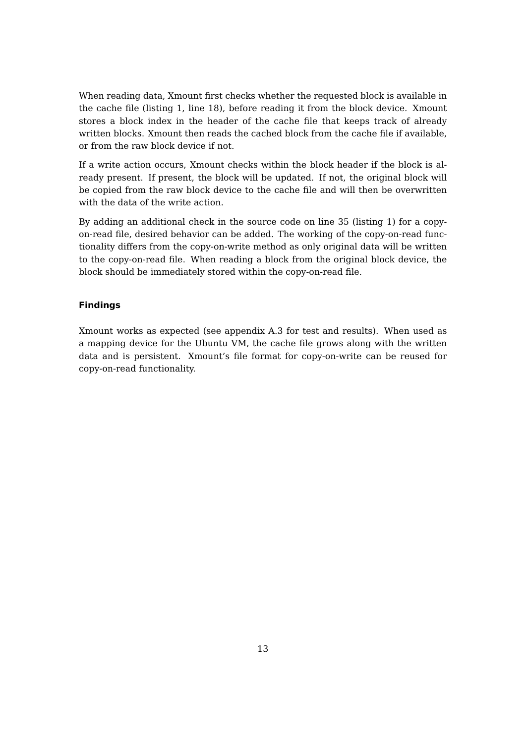When reading data, Xmount first checks whether the requested block is available in the cache file (listing [1,](#page-13-0) line 18), before reading it from the block device. Xmount stores a block index in the header of the cache file that keeps track of already written blocks. Xmount then reads the cached block from the cache file if available, or from the raw block device if not.

If a write action occurs, Xmount checks within the block header if the block is already present. If present, the block will be updated. If not, the original block will be copied from the raw block device to the cache file and will then be overwritten with the data of the write action.

By adding an additional check in the source code on line 35 (listing [1\)](#page-13-0) for a copyon-read file, desired behavior can be added. The working of the copy-on-read functionality differs from the copy-on-write method as only original data will be written to the copy-on-read file. When reading a block from the original block device, the block should be immediately stored within the copy-on-read file.

#### **Findings**

Xmount works as expected (see appendix [A.3](#page-30-3) for test and results). When used as a mapping device for the Ubuntu VM, the cache file grows along with the written data and is persistent. Xmount's file format for copy-on-write can be reused for copy-on-read functionality.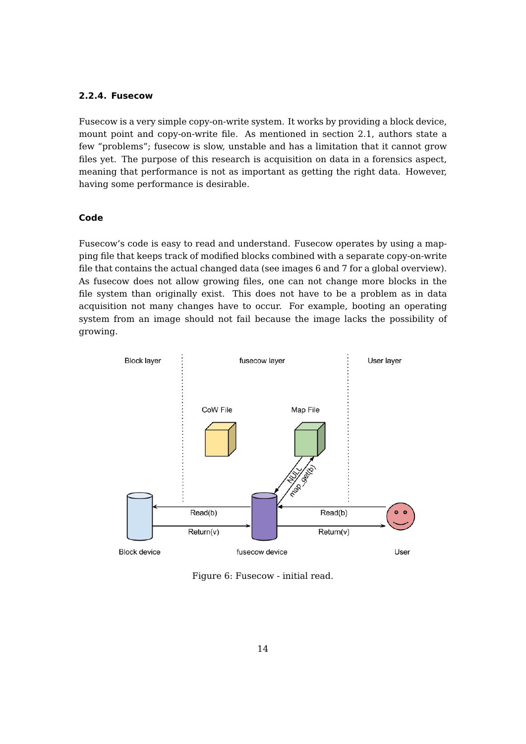#### <span id="page-15-0"></span>**2.2.4. Fusecow**

Fusecow is a very simple copy-on-write system. It works by providing a block device, mount point and copy-on-write file. As mentioned in section [2.1,](#page-7-1) authors state a few "problems"; fusecow is slow, unstable and has a limitation that it cannot grow files yet. The purpose of this research is acquisition on data in a forensics aspect, meaning that performance is not as important as getting the right data. However, having some performance is desirable.

#### **Code**

Fusecow's code is easy to read and understand. Fusecow operates by using a mapping file that keeps track of modified blocks combined with a separate copy-on-write file that contains the actual changed data (see images [6](#page-15-1) and [7](#page-16-0) for a global overview). As fusecow does not allow growing files, one can not change more blocks in the file system than originally exist. This does not have to be a problem as in data acquisition not many changes have to occur. For example, booting an operating system from an image should not fail because the image lacks the possibility of growing.

<span id="page-15-1"></span>

Figure 6: Fusecow - initial read.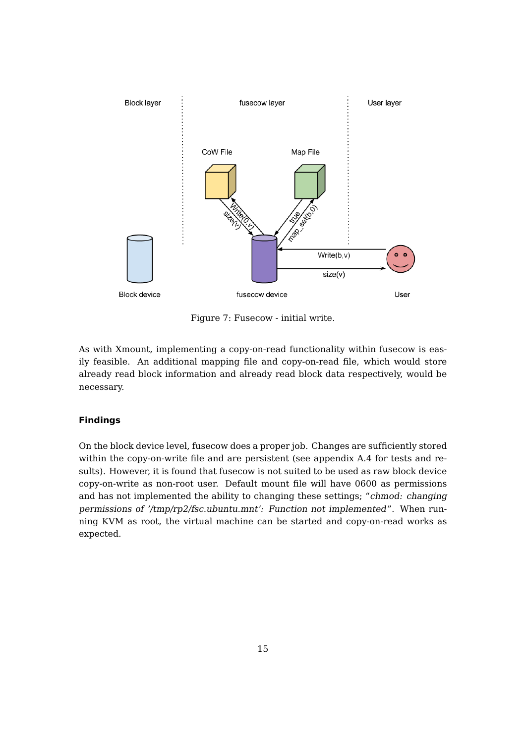<span id="page-16-0"></span>

Figure 7: Fusecow - initial write.

As with Xmount, implementing a copy-on-read functionality within fusecow is easily feasible. An additional mapping file and copy-on-read file, which would store already read block information and already read block data respectively, would be necessary.

### **Findings**

On the block device level, fusecow does a proper job. Changes are sufficiently stored within the copy-on-write file and are persistent (see appendix [A.4](#page-32-0) for tests and results). However, it is found that fusecow is not suited to be used as raw block device copy-on-write as non-root user. Default mount file will have 0600 as permissions and has not implemented the ability to changing these settings; "chmod: changing permissions of '/tmp/rp2/fsc.ubuntu.mnt': Function not implemented". When running KVM as root, the virtual machine can be started and copy-on-read works as expected.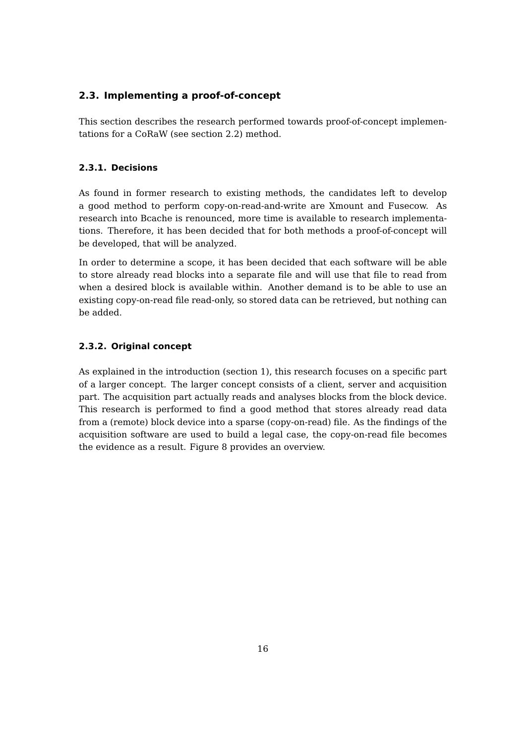### <span id="page-17-0"></span>**2.3. Implementing a proof-of-concept**

This section describes the research performed towards proof-of-concept implementations for a CoRaW (see section [2.2\)](#page-8-0) method.

### <span id="page-17-1"></span>**2.3.1. Decisions**

As found in former research to existing methods, the candidates left to develop a good method to perform copy-on-read-and-write are Xmount and Fusecow. As research into Bcache is renounced, more time is available to research implementations. Therefore, it has been decided that for both methods a proof-of-concept will be developed, that will be analyzed.

In order to determine a scope, it has been decided that each software will be able to store already read blocks into a separate file and will use that file to read from when a desired block is available within. Another demand is to be able to use an existing copy-on-read file read-only, so stored data can be retrieved, but nothing can be added.

#### <span id="page-17-2"></span>**2.3.2. Original concept**

As explained in the introduction (section [1\)](#page-4-0), this research focuses on a specific part of a larger concept. The larger concept consists of a client, server and acquisition part. The acquisition part actually reads and analyses blocks from the block device. This research is performed to find a good method that stores already read data from a (remote) block device into a sparse (copy-on-read) file. As the findings of the acquisition software are used to build a legal case, the copy-on-read file becomes the evidence as a result. Figure [8](#page-18-1) provides an overview.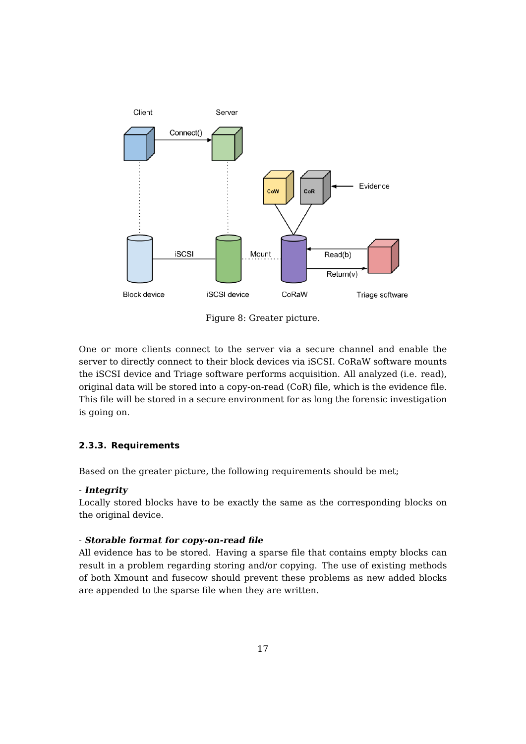<span id="page-18-1"></span>

Figure 8: Greater picture.

One or more clients connect to the server via a secure channel and enable the server to directly connect to their block devices via iSCSI. CoRaW software mounts the iSCSI device and Triage software performs acquisition. All analyzed (i.e. read), original data will be stored into a copy-on-read (CoR) file, which is the evidence file. This file will be stored in a secure environment for as long the forensic investigation is going on.

#### <span id="page-18-0"></span>**2.3.3. Requirements**

Based on the greater picture, the following requirements should be met;

#### - **Integrity**

Locally stored blocks have to be exactly the same as the corresponding blocks on the original device.

#### - **Storable format for copy-on-read file**

All evidence has to be stored. Having a sparse file that contains empty blocks can result in a problem regarding storing and/or copying. The use of existing methods of both Xmount and fusecow should prevent these problems as new added blocks are appended to the sparse file when they are written.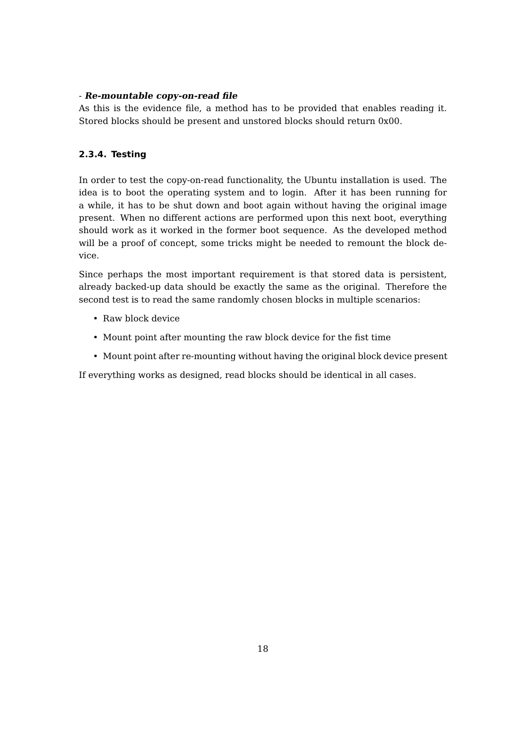#### - **Re-mountable copy-on-read file**

As this is the evidence file, a method has to be provided that enables reading it. Stored blocks should be present and unstored blocks should return 0x00.

### <span id="page-19-0"></span>**2.3.4. Testing**

In order to test the copy-on-read functionality, the Ubuntu installation is used. The idea is to boot the operating system and to login. After it has been running for a while, it has to be shut down and boot again without having the original image present. When no different actions are performed upon this next boot, everything should work as it worked in the former boot sequence. As the developed method will be a proof of concept, some tricks might be needed to remount the block device.

Since perhaps the most important requirement is that stored data is persistent, already backed-up data should be exactly the same as the original. Therefore the second test is to read the same randomly chosen blocks in multiple scenarios:

- Raw block device
- Mount point after mounting the raw block device for the fist time
- Mount point after re-mounting without having the original block device present

If everything works as designed, read blocks should be identical in all cases.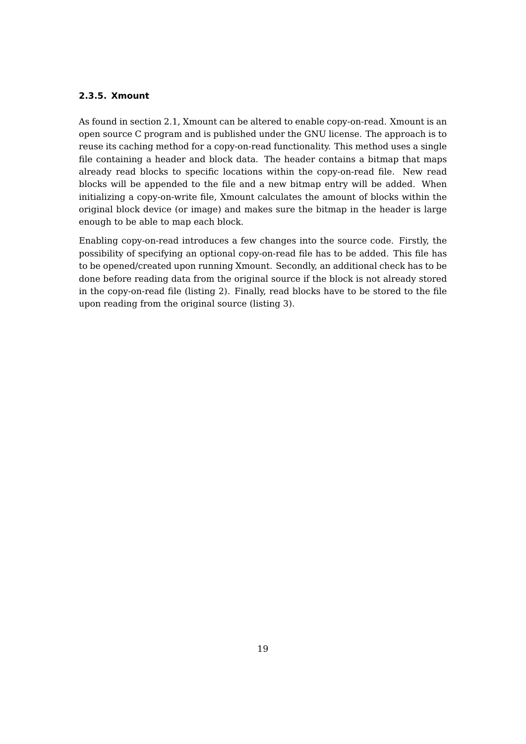### <span id="page-20-0"></span>**2.3.5. Xmount**

As found in section [2.1,](#page-7-0) Xmount can be altered to enable copy-on-read. Xmount is an open source C program and is published under the GNU license. The approach is to reuse its caching method for a copy-on-read functionality. This method uses a single file containing a header and block data. The header contains a bitmap that maps already read blocks to specific locations within the copy-on-read file. New read blocks will be appended to the file and a new bitmap entry will be added. When initializing a copy-on-write file, Xmount calculates the amount of blocks within the original block device (or image) and makes sure the bitmap in the header is large enough to be able to map each block.

Enabling copy-on-read introduces a few changes into the source code. Firstly, the possibility of specifying an optional copy-on-read file has to be added. This file has to be opened/created upon running Xmount. Secondly, an additional check has to be done before reading data from the original source if the block is not already stored in the copy-on-read file (listing [2\)](#page-21-0). Finally, read blocks have to be stored to the file upon reading from the original source (listing [3\)](#page-21-1).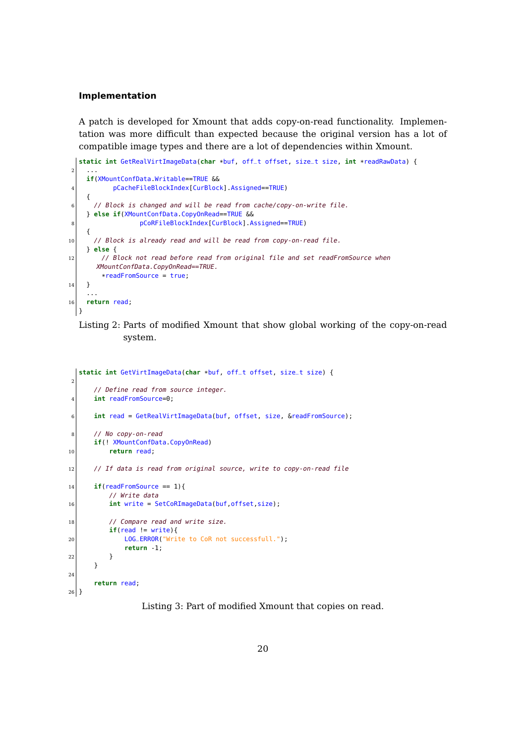#### **Implementation**

A patch is developed for Xmount that adds copy-on-read functionality. Implementation was more difficult than expected because the original version has a lot of compatible image types and there are a lot of dependencies within Xmount.

```
static int GetRealVirtImageData(char *buf, off_t offset, size_t size, int *readRawData) {
 2 ...
    if(XMountConfData.Writable==TRUE &&
4 pCacheFileBlockIndex[CurBlock].Assigned==TRUE)
    {
6 // Block is changed and will be read from cache/copy-on-write file.
    } else if(XMountConfData.CopyOnRead==TRUE &&
8 pCoRFileBlockIndex[CurBlock].Assigned==TRUE)
    {
|10| // Block is already read and will be read from copy-on-read file.
    } else {
12 // Block not read before read from original file and set readFromSource when
      XMountConfData.CopyOnRead==TRUE.
        *readFromSource = true;
14 }
    ...
16 return read;
  }
```
### Listing 2: Parts of modified Xmount that show global working of the copy-on-read system.

```
static int GetVirtImageData(char *buf, off_t offset, size_t size) {
2
      // Define read from source integer.
4 int readFromSource=0;
6 int read = GetRealVirtImageData(buf, offset, size, &readFromSource);
8 // No copy-on-read
      if(! XMountConfData.CopyOnRead)
10 return read;
|12| // If data is read from original source, write to copy-on-read file
14 if(readFromSource == 1){
          // Write data
16 int write = SetCoRImageData(buf, offset, size);
18 // Compare read and write size.
          if(\text{read } != \text{write})20 LOG_ERROR("Write to CoR not successfull.");
             return -1;
22 }
      }
24
      return read;
26}
```
Listing 3: Part of modified Xmount that copies on read.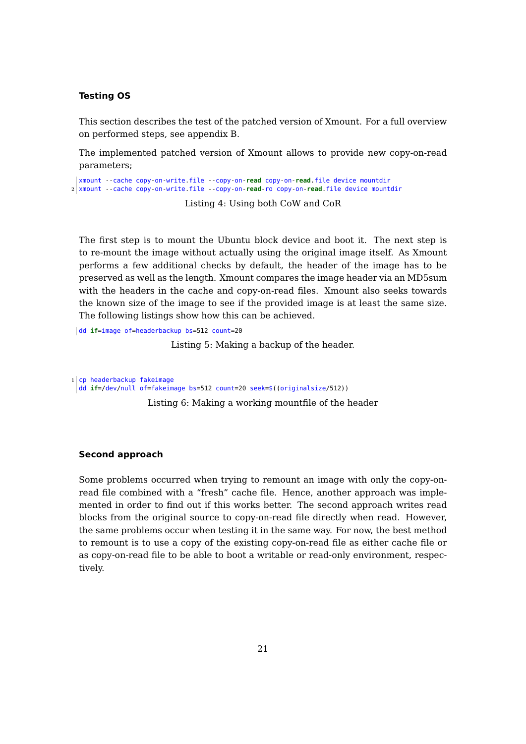#### **Testing OS**

This section describes the test of the patched version of Xmount. For a full overview on performed steps, see appendix [B.](#page-34-0)

The implemented patched version of Xmount allows to provide new copy-on-read parameters;

xmount --cache copy-on-write.file --copy-on-**read** copy-on-**read**.file device mountdir 2 xmount --cache copy-on-write.file --copy-on-**read**-ro copy-on-**read**.file device mountdir

Listing 4: Using both CoW and CoR

The first step is to mount the Ubuntu block device and boot it. The next step is to re-mount the image without actually using the original image itself. As Xmount performs a few additional checks by default, the header of the image has to be preserved as well as the length. Xmount compares the image header via an MD5sum with the headers in the cache and copy-on-read files. Xmount also seeks towards the known size of the image to see if the provided image is at least the same size. The following listings show how this can be achieved.

dd **if**=image of=headerbackup bs=512 count=20

Listing 5: Making a backup of the header.

1 cp headerbackup fakeimage dd **if**=/dev/null of=fakeimage bs=512 count=20 seek=\$((originalsize/512))

Listing 6: Making a working mountfile of the header

#### **Second approach**

Some problems occurred when trying to remount an image with only the copy-onread file combined with a "fresh" cache file. Hence, another approach was implemented in order to find out if this works better. The second approach writes read blocks from the original source to copy-on-read file directly when read. However, the same problems occur when testing it in the same way. For now, the best method to remount is to use a copy of the existing copy-on-read file as either cache file or as copy-on-read file to be able to boot a writable or read-only environment, respectively.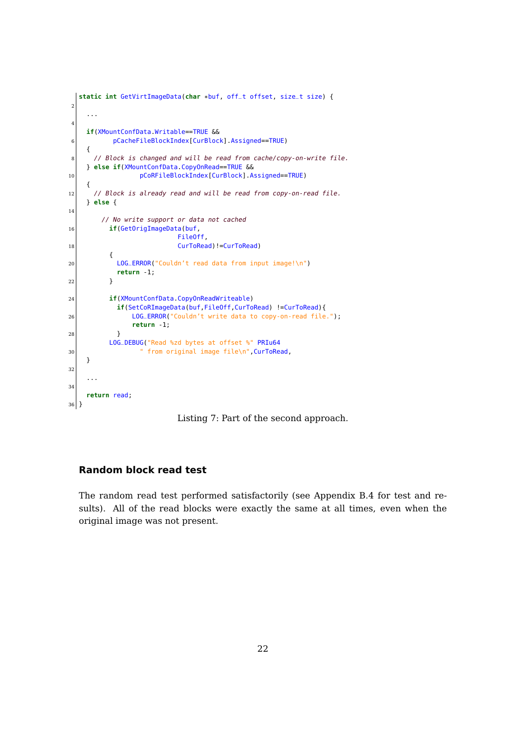```
static int GetVirtImageData(char *buf, off_t offset, size_t size) {
2
     ...
4
     if(XMountConfData.Writable==TRUE &&
6 pCacheFileBlockIndex[CurBlock].Assigned==TRUE)
     {
|8| // Block is changed and will be read from cache/copy-on-write file.
     } else if(XMountConfData.CopyOnRead==TRUE &&
10 pCoRFileBlockIndex[CurBlock].Assigned==TRUE)
     {
|12| // Block is already read and will be read from copy-on-read file.
     } else {
14
         // No write support or data not cached
16 if(GetOrigImageData(buf,
                              FileOff,
18 CurToRead)!=CurToRead)
           {
20 LOG_ERROR("Couldn't read data from input image!\n")
             return -1;
22 }
24 if(XMountConfData.CopyOnReadWriteable)
             if(SetCoRImageData(buf,FileOff,CurToRead) !=CurToRead){
26 LOG_ERROR("Couldn't write data to copy-on-read file.");
                 return -1;
28 }
           LOG_DEBUG("Read %zd bytes at offset %" PRIu64
30 The same of the same of the same of the same of the same of the same of the same of the same of the same of the same of the same of the same of the same of the same of the same of the same of the same of the same of the
     }
32
     ...
34
     return read;
36}
```
Listing 7: Part of the second approach.

#### **Random block read test**

The random read test performed satisfactorily (see Appendix [B.4](#page-36-0) for test and results). All of the read blocks were exactly the same at all times, even when the original image was not present.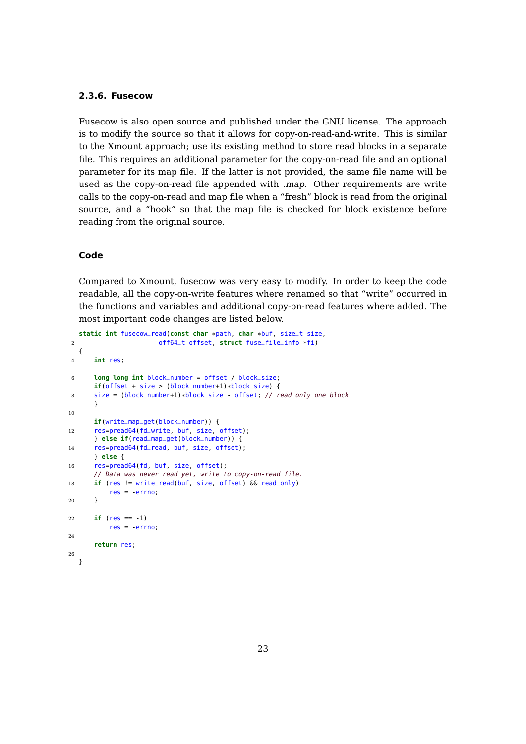#### <span id="page-24-0"></span>**2.3.6. Fusecow**

Fusecow is also open source and published under the GNU license. The approach is to modify the source so that it allows for copy-on-read-and-write. This is similar to the Xmount approach; use its existing method to store read blocks in a separate file. This requires an additional parameter for the copy-on-read file and an optional parameter for its map file. If the latter is not provided, the same file name will be used as the copy-on-read file appended with .map. Other requirements are write calls to the copy-on-read and map file when a "fresh" block is read from the original source, and a "hook" so that the map file is checked for block existence before reading from the original source.

#### **Code**

Compared to Xmount, fusecow was very easy to modify. In order to keep the code readable, all the copy-on-write features where renamed so that "write" occurred in the functions and variables and additional copy-on-read features where added. The most important code changes are listed below.

```
static int fusecow_read(const char *path, char *buf, size_t size,
2 off64_t offset, struct fuse_file_info *fi)
  {
4 int res;
6 long long int block_number = offset / block_size;
      if(offset + size > (block_number+1)*block_size) {
8 \mid size = (block_number+1)*block_size - offset; // read only one block
      }
10
      if(write_map_get(block_number)) {
12 res=pread64(fd_write, buf, size, offset);
      } else if(read_map_get(block_number)) {
14 res=pread64(fd_read, buf, size, offset);
      } else {
16 res=pread64(fd, buf, size, offset);
      // Data was never read yet, write to copy-on-read file.
18 if (res != write_read(buf, size, offset) && read_only)
          res = errno;
20 }
|22| if (res == -1)
          res = -errno;
24
      return res;
26
 \begin{array}{c} \end{array}
```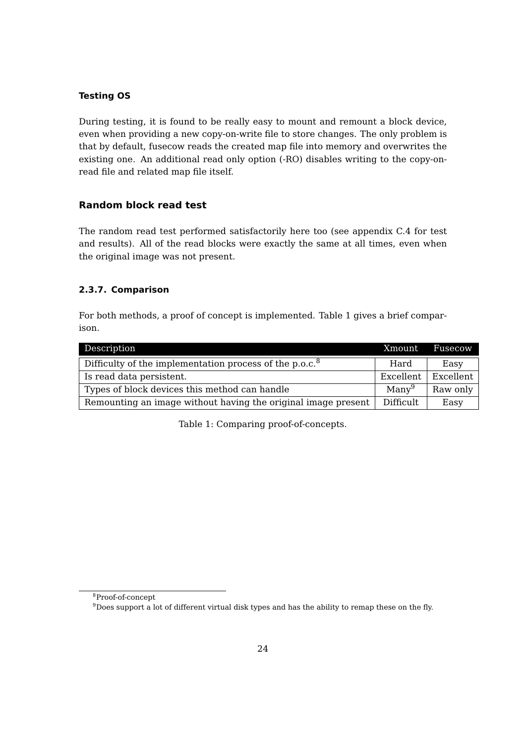#### **Testing OS**

During testing, it is found to be really easy to mount and remount a block device, even when providing a new copy-on-write file to store changes. The only problem is that by default, fusecow reads the created map file into memory and overwrites the existing one. An additional read only option (-RO) disables writing to the copy-onread file and related map file itself.

#### **Random block read test**

The random read test performed satisfactorily here too (see appendix [C.4](#page-39-0) for test and results). All of the read blocks were exactly the same at all times, even when the original image was not present.

#### <span id="page-25-0"></span>**2.3.7. Comparison**

For both methods, a proof of concept is implemented. Table [1](#page-25-1) gives a brief comparison.

<span id="page-25-1"></span>

| Description                                                   |                   | Fusecow   |
|---------------------------------------------------------------|-------------------|-----------|
| Difficulty of the implementation process of the $p.o.c.8$     | Hard              | Easy      |
| Is read data persistent.                                      | Excellent         | Excellent |
| Types of block devices this method can handle                 | Many <sup>9</sup> | Raw only  |
| Remounting an image without having the original image present | Difficult.        | Easy      |

Table 1: Comparing proof-of-concepts.

<sup>8</sup>Proof-of-concept

 $9$ Does support a lot of different virtual disk types and has the ability to remap these on the fly.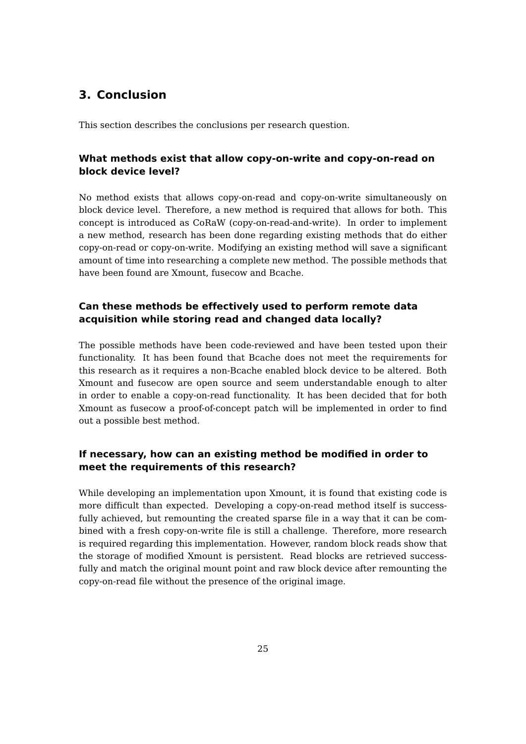# <span id="page-26-0"></span>**3. Conclusion**

This section describes the conclusions per research question.

### **What methods exist that allow copy-on-write and copy-on-read on block device level?**

No method exists that allows copy-on-read and copy-on-write simultaneously on block device level. Therefore, a new method is required that allows for both. This concept is introduced as CoRaW (copy-on-read-and-write). In order to implement a new method, research has been done regarding existing methods that do either copy-on-read or copy-on-write. Modifying an existing method will save a significant amount of time into researching a complete new method. The possible methods that have been found are Xmount, fusecow and Bcache.

### **Can these methods be effectively used to perform remote data acquisition while storing read and changed data locally?**

The possible methods have been code-reviewed and have been tested upon their functionality. It has been found that Bcache does not meet the requirements for this research as it requires a non-Bcache enabled block device to be altered. Both Xmount and fusecow are open source and seem understandable enough to alter in order to enable a copy-on-read functionality. It has been decided that for both Xmount as fusecow a proof-of-concept patch will be implemented in order to find out a possible best method.

### **If necessary, how can an existing method be modified in order to meet the requirements of this research?**

While developing an implementation upon Xmount, it is found that existing code is more difficult than expected. Developing a copy-on-read method itself is successfully achieved, but remounting the created sparse file in a way that it can be combined with a fresh copy-on-write file is still a challenge. Therefore, more research is required regarding this implementation. However, random block reads show that the storage of modified Xmount is persistent. Read blocks are retrieved successfully and match the original mount point and raw block device after remounting the copy-on-read file without the presence of the original image.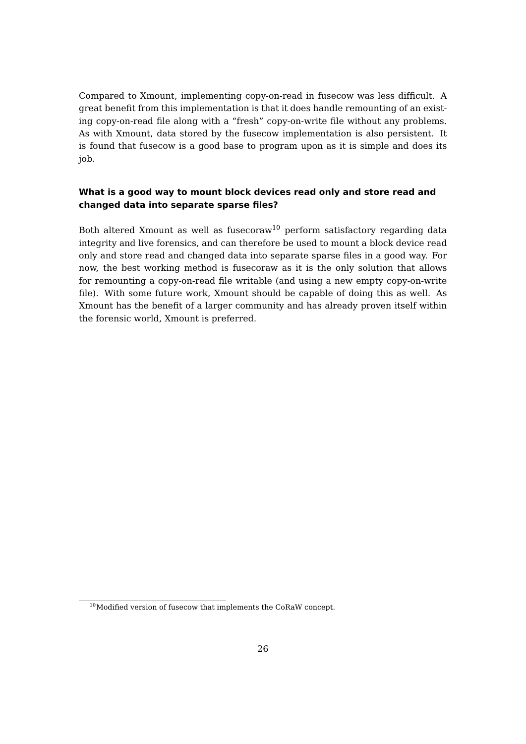Compared to Xmount, implementing copy-on-read in fusecow was less difficult. A great benefit from this implementation is that it does handle remounting of an existing copy-on-read file along with a "fresh" copy-on-write file without any problems. As with Xmount, data stored by the fusecow implementation is also persistent. It is found that fusecow is a good base to program upon as it is simple and does its job.

### **What is a good way to mount block devices read only and store read and changed data into separate sparse files?**

Both altered Xmount as well as fusecoraw<sup>[10](#page-0-0)</sup> perform satisfactory regarding data integrity and live forensics, and can therefore be used to mount a block device read only and store read and changed data into separate sparse files in a good way. For now, the best working method is fusecoraw as it is the only solution that allows for remounting a copy-on-read file writable (and using a new empty copy-on-write file). With some future work, Xmount should be capable of doing this as well. As Xmount has the benefit of a larger community and has already proven itself within the forensic world, Xmount is preferred.

 $10$ Modified version of fusecow that implements the CoRaW concept.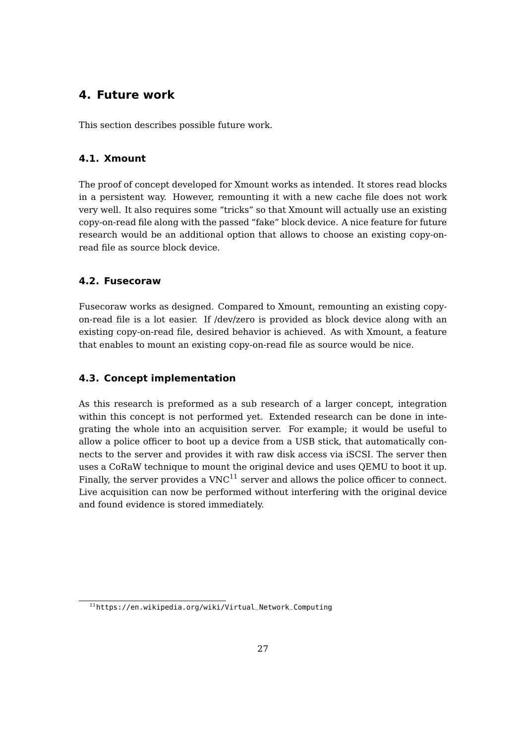# <span id="page-28-0"></span>**4. Future work**

This section describes possible future work.

### <span id="page-28-1"></span>**4.1. Xmount**

The proof of concept developed for Xmount works as intended. It stores read blocks in a persistent way. However, remounting it with a new cache file does not work very well. It also requires some "tricks" so that Xmount will actually use an existing copy-on-read file along with the passed "fake" block device. A nice feature for future research would be an additional option that allows to choose an existing copy-onread file as source block device.

### <span id="page-28-2"></span>**4.2. Fusecoraw**

Fusecoraw works as designed. Compared to Xmount, remounting an existing copyon-read file is a lot easier. If /dev/zero is provided as block device along with an existing copy-on-read file, desired behavior is achieved. As with Xmount, a feature that enables to mount an existing copy-on-read file as source would be nice.

### <span id="page-28-3"></span>**4.3. Concept implementation**

As this research is preformed as a sub research of a larger concept, integration within this concept is not performed yet. Extended research can be done in integrating the whole into an acquisition server. For example; it would be useful to allow a police officer to boot up a device from a USB stick, that automatically connects to the server and provides it with raw disk access via iSCSI. The server then uses a CoRaW technique to mount the original device and uses QEMU to boot it up. Finally, the server provides a  $VNC^{11}$  $VNC^{11}$  $VNC^{11}$  server and allows the police officer to connect. Live acquisition can now be performed without interfering with the original device and found evidence is stored immediately.

<sup>11</sup>[https://en.wikipedia.org/wiki/Virtual\\_Network\\_Computing](https://en.wikipedia.org/wiki/Virtual_Network_Computing)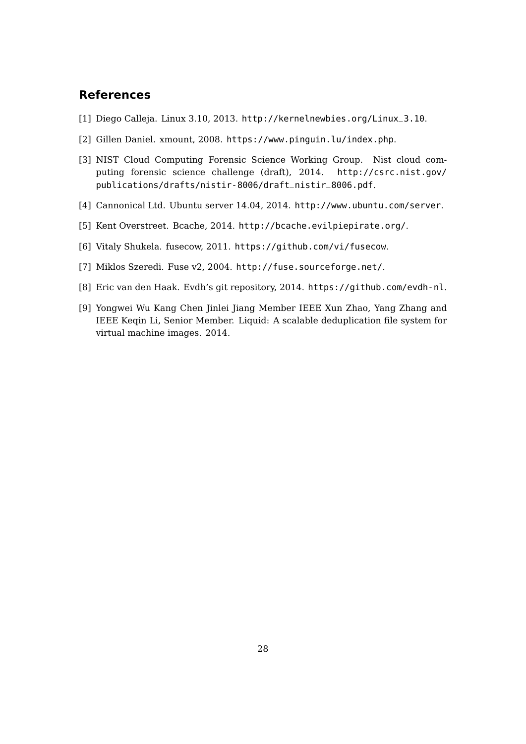## **References**

- <span id="page-29-7"></span>[1] Diego Calleja. Linux 3.10, 2013. [http://kernelnewbies.org/Linux\\_3.10](http://kernelnewbies.org/Linux_3.10).
- <span id="page-29-3"></span>[2] Gillen Daniel. xmount, 2008. <https://www.pinguin.lu/index.php>.
- <span id="page-29-4"></span>[3] NIST Cloud Computing Forensic Science Working Group. Nist cloud computing forensic science challenge (draft), 2014. [http://csrc.nist.gov/](http://csrc.nist.gov/publications/drafts/nistir-8006/draft_nistir_8006.pdf) [publications/drafts/nistir-8006/draft\\_nistir\\_8006.pdf](http://csrc.nist.gov/publications/drafts/nistir-8006/draft_nistir_8006.pdf).
- <span id="page-29-8"></span>[4] Cannonical Ltd. Ubuntu server 14.04, 2014. <http://www.ubuntu.com/server>.
- <span id="page-29-6"></span>[5] Kent Overstreet. Bcache, 2014. <http://bcache.evilpiepirate.org/>.
- <span id="page-29-1"></span>[6] Vitaly Shukela. fusecow, 2011. <https://github.com/vi/fusecow>.
- <span id="page-29-5"></span>[7] Miklos Szeredi. Fuse v2, 2004. <http://fuse.sourceforge.net/>.
- <span id="page-29-0"></span>[8] Eric van den Haak. Evdh's git repository, 2014. <https://github.com/evdh-nl>.
- <span id="page-29-2"></span>[9] Yongwei Wu Kang Chen Jinlei Jiang Member IEEE Xun Zhao, Yang Zhang and IEEE Keqin Li, Senior Member. Liquid: A scalable deduplication file system for virtual machine images. 2014.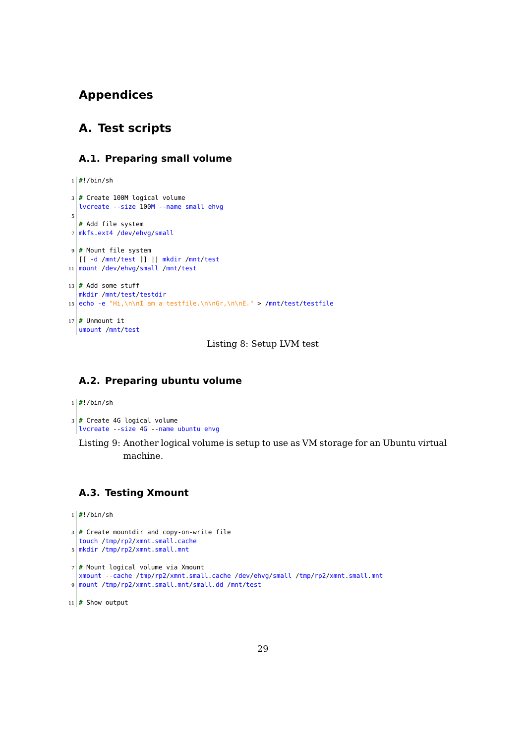# **Appendices**

# <span id="page-30-0"></span>**A. Test scripts**

#### <span id="page-30-1"></span>**A.1. Preparing small volume**

```
1 #!/bin/sh
3 # Create 100M logical volume
  lvcreate --size 100M --name small ehvg
5
  # Add file system
7 mkfs.ext4 /dev/ehvg/small
9 # Mount file system
  [[ -d /mnt/test ]] || mkdir /mnt/test
11 mount /dev/ehvg/small /mnt/test
13 \# Add some stuff
  mkdir /mnt/test/testdir
15 echo -e "Hi,\n\nI am a testfile.\n\nGr,\n\nE." > /mnt/test/testfile
17 \# Unmount it
 umount /mnt/test
```
Listing 8: Setup LVM test

### <span id="page-30-2"></span>**A.2. Preparing ubuntu volume**

```
1 #!/bin/sh
3 # Create 4G logical volume
 lvcreate --size 4G --name ubuntu ehvg
```
Listing 9: Another logical volume is setup to use as VM storage for an Ubuntu virtual machine.

### <span id="page-30-3"></span>**A.3. Testing Xmount**

```
1 #!/bin/sh
3 # Create mountdir and copy-on-write file
  touch /tmp/rp2/xmnt.small.cache
5 mkdir /tmp/rp2/xmnt.small.mnt
7 # Mount logical volume via Xmount
  xmount --cache /tmp/rp2/xmnt.small.cache /dev/ehvg/small /tmp/rp2/xmnt.small.mnt
9 mount /tmp/rp2/xmnt.small.mnt/small.dd /mnt/test
11 # Show output
```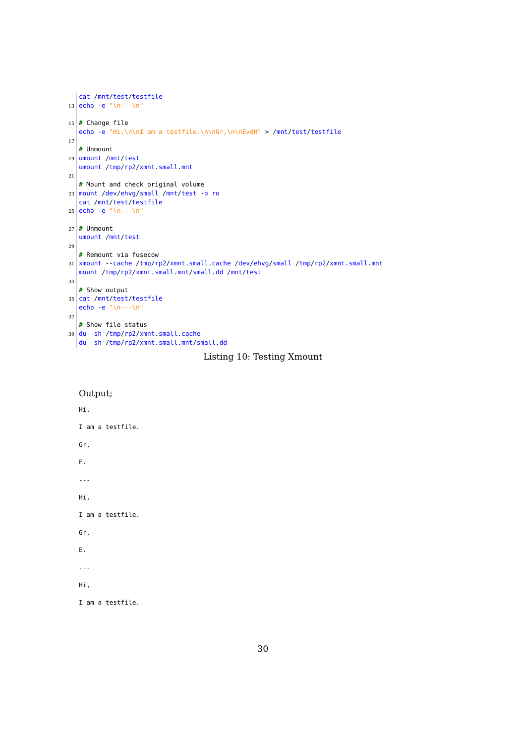```
cat /mnt/test/testfile
13 echo -e "\n---\n"
15 # Change file
   echo -e "Hi,\n\nI am a testfile.\n\nGr,\n\nEvdH" > /mnt/test/testfile
17
   # Unmount
19 umount /mnt/test
   umount /tmp/rp2/xmnt.small.mnt
21
   # Mount and check original volume
23 mount /dev/ehvg/small /mnt/test -o ro
   cat /mnt/test/testfile
25 echo -e "\n---\n"
27 \# Unmount
   umount /mnt/test
29
   # Remount via fusecow
31 xmount --cache /tmp/rp2/xmnt.small.cache /dev/ehvg/small /tmp/rp2/xmnt.small.mnt
   mount /tmp/rp2/xmnt.small.mnt/small.dd /mnt/test
33
   # Show output
35 cat /mnt/test/testfile
   echo -e "\n---\n"
37
   # Show file status
39 du -sh /tmp/rp2/xmnt.small.cache
  du -sh /tmp/rp2/xmnt.small.mnt/small.dd
```
Listing 10: Testing Xmount

### Output;

Hi, I am a testfile. Gr, E. --- Hi, I am a testfile. Gr, E. --- Hi, I am a testfile.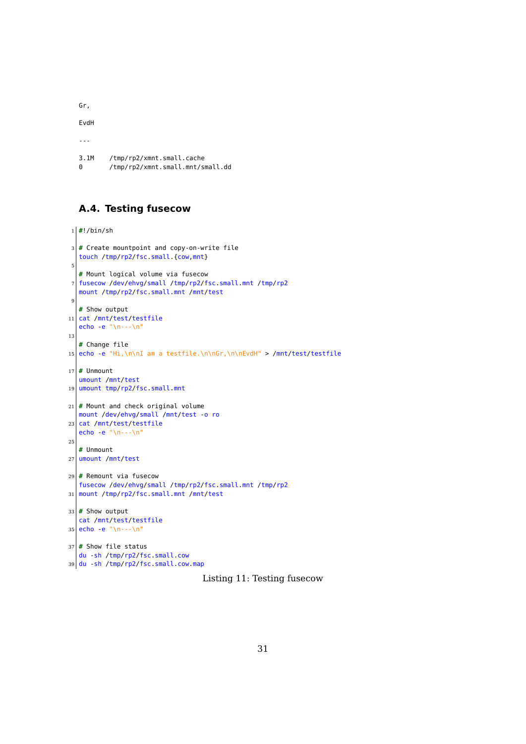Gr,

EvdH

---

```
3.1M /tmp/rp2/xmnt.small.cache
0 /tmp/rp2/xmnt.small.mnt/small.dd
```
### <span id="page-32-0"></span>**A.4. Testing fusecow**

```
1 #!/bin/sh
3 # Create mountpoint and copy-on-write file
   touch /tmp/rp2/fsc.small.{cow,mnt}
5
   # Mount logical volume via fusecow
7 fusecow /dev/ehvg/small /tmp/rp2/fsc.small.mnt /tmp/rp2
   mount /tmp/rp2/fsc.small.mnt /mnt/test
\epsilon# Show output
11 cat /mnt/test/testfile
   echo -e "\n---\n"
13
  # Change file
15 echo -e "Hi,\n\nI am a testfile.\n\nGr,\n\nEvdH" > /mnt/test/testfile
17 \# Unmount
  umount /mnt/test
19 umount tmp/rp2/fsc.small.mnt
21 \# Mount and check original volume
   mount /dev/ehvg/small /mnt/test -o ro
23 cat /mnt/test/testfile
   echo -e "\n---\n"
25# Unmount
27 umount /mnt/test
29 # Remount via fusecow
   fusecow /dev/ehvg/small /tmp/rp2/fsc.small.mnt /tmp/rp2
31 mount /tmp/rp2/fsc.small.mnt /mnt/test
33 \# Show output
   cat /mnt/test/testfile
35 \text{ echo} \cdot e "\n---\n"
37 # Show file status
   du -sh /tmp/rp2/fsc.small.cow
39 du -sh /tmp/rp2/fsc.small.cow.map
```
Listing 11: Testing fusecow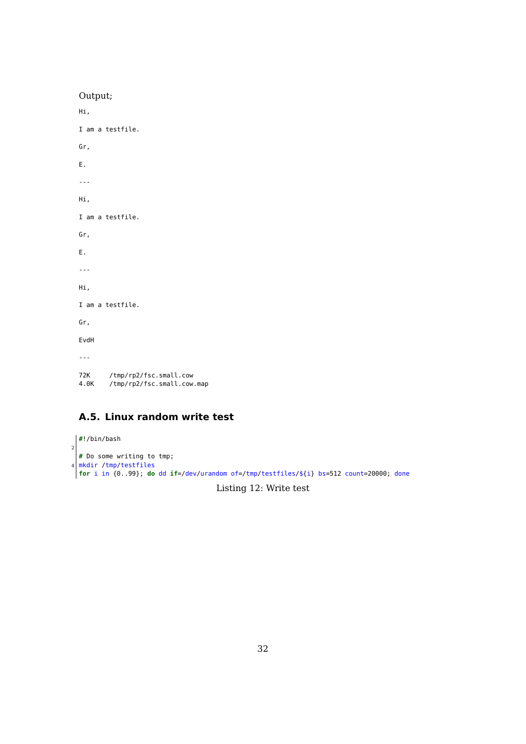| Output;                                                             |  |  |  |  |
|---------------------------------------------------------------------|--|--|--|--|
| Hi,                                                                 |  |  |  |  |
| I am a testfile.                                                    |  |  |  |  |
| Gr,                                                                 |  |  |  |  |
| Ε.                                                                  |  |  |  |  |
| $- - -$                                                             |  |  |  |  |
| Hi,                                                                 |  |  |  |  |
| I am a testfile.                                                    |  |  |  |  |
| Gr,                                                                 |  |  |  |  |
| Ε.                                                                  |  |  |  |  |
| $  -$                                                               |  |  |  |  |
| Hi,                                                                 |  |  |  |  |
| I am a testfile.                                                    |  |  |  |  |
| Gr,                                                                 |  |  |  |  |
| EvdH                                                                |  |  |  |  |
| $- - -$                                                             |  |  |  |  |
| /tmp/rp2/fsc.small.cow<br>72K<br>/tmp/rp2/fsc.small.cow.map<br>4.0K |  |  |  |  |
|                                                                     |  |  |  |  |

# <span id="page-33-0"></span>**A.5. Linux random write test**

```
#!/bin/bash
2
  # Do some writing to tmp;
4 mkdir /tmp/testfiles
  for i in {0..99}; do dd if=/dev/urandom of=/tmp/testfiles/${i} bs=512 count=20000; done
                                     Listing 12: Write test
```
32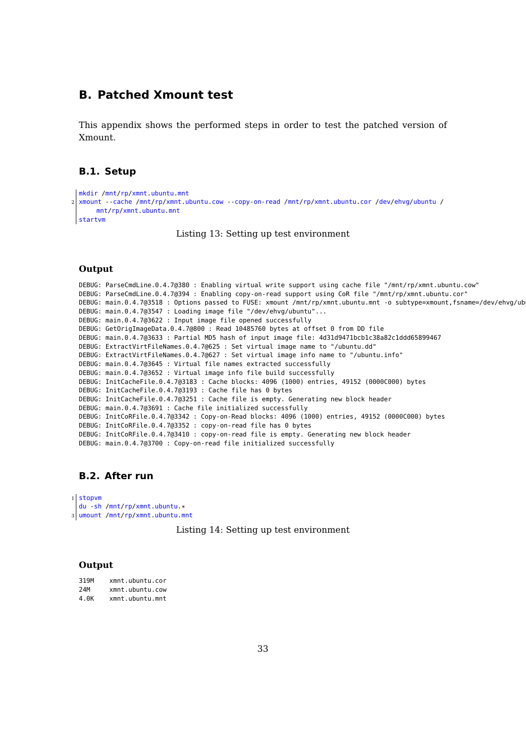### <span id="page-34-0"></span>**B. Patched Xmount test**

This appendix shows the performed steps in order to test the patched version of Xmount.

### <span id="page-34-1"></span>**B.1. Setup**

```
mkdir /mnt/rp/xmnt.ubuntu.mnt
2 xmount --cache /mnt/rp/xmnt.ubuntu.cow --copy-on-read /mnt/rp/xmnt.ubuntu.cor /dev/ehvg/ubuntu /
      mnt/rp/xmnt.ubuntu.mnt
  startvm
```
Listing 13: Setting up test environment

#### **Output**

DEBUG: ParseCmdLine.0.4.7@380 : Enabling virtual write support using cache file "/mnt/rp/xmnt.ubuntu.cow" DEBUG: ParseCmdLine.0.4.7@394 : Enabling copy-on-read support using CoR file "/mnt/rp/xmnt.ubuntu.cor" DEBUG: main.0.4.7@3518 : Options passed to FUSE: xmount /mnt/rp/xmnt.ubuntu.mnt -o subtype=xmount,fsname=/dev/ehvg/ub DEBUG: main.0.4.7@3547 : Loading image file "/dev/ehvg/ubuntu"... DEBUG: main.0.4.7@3622 : Input image file opened successfully DEBUG: GetOrigImageData.0.4.7@800 : Read 10485760 bytes at offset 0 from DD file DEBUG: main.0.4.7@3633 : Partial MD5 hash of input image file: 4d31d9471bcb1c38a82c1ddd65899467 DEBUG: ExtractVirtFileNames.0.4.7@625 : Set virtual image name to "/ubuntu.dd" DEBUG: ExtractVirtFileNames.0.4.7@627 : Set virtual image info name to "/ubuntu.info" DEBUG: main.0.4.7@3645 : Virtual file names extracted successfully DEBUG: main.0.4.7@3652 : Virtual image info file build successfully DEBUG: InitCacheFile.0.4.7@3183 : Cache blocks: 4096 (1000) entries, 49152 (0000C000) bytes DEBUG: InitCacheFile.0.4.7@3193 : Cache file has 0 bytes DEBUG: InitCacheFile.0.4.7@3251 : Cache file is empty. Generating new block header DEBUG: main.0.4.7@3691 : Cache file initialized successfully DEBUG: InitCoRFile.0.4.7@3342 : Copy-on-Read blocks: 4096 (1000) entries, 49152 (0000C000) bytes DEBUG: InitCoRFile.0.4.7@3352 : copy-on-read file has 0 bytes DEBUG: InitCoRFile.0.4.7@3410 : copy-on-read file is empty. Generating new block header DEBUG: main.0.4.7@3700 : Copy-on-read file initialized successfully

### <span id="page-34-2"></span>**B.2. After run**

```
1 stopvm
 du -sh /mnt/rp/xmnt.ubuntu.*
```
3 umount /mnt/rp/xmnt.ubuntu.mnt

#### Listing 14: Setting up test environment

#### **Output**

| 319M | xmnt.ubuntu.cor |
|------|-----------------|
| 24M  | xmnt.ubuntu.cow |
| 4.OK | xmnt.ubuntu.mnt |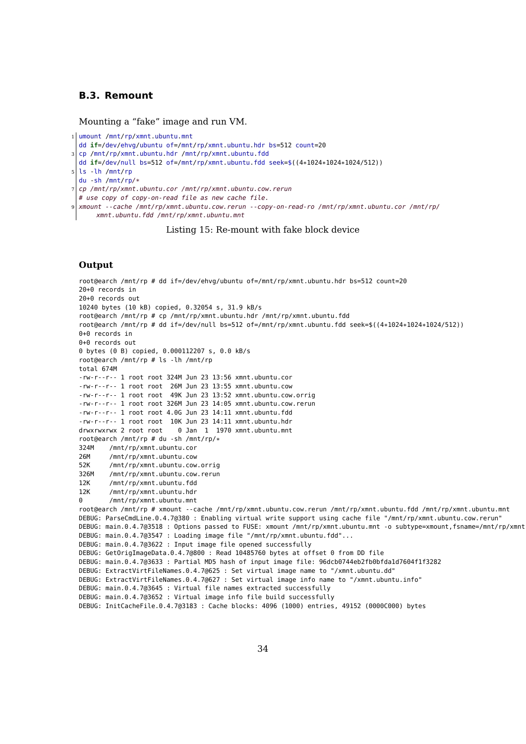#### <span id="page-35-0"></span>**B.3. Remount**

Mounting a "fake" image and run VM.

1 umount /mnt/rp/xmnt.ubuntu.mnt

dd **if**=/dev/ehvg/ubuntu of=/mnt/rp/xmnt.ubuntu.hdr bs=512 count=20

 $3$  cp /mnt/rp/xmnt.ubuntu.hdr /mnt/rp/xmnt.ubuntu.fdd

dd **if**=/dev/null bs=512 of=/mnt/rp/xmnt.ubuntu.fdd seek=\$((4\*1024\*1024\*1024/512))

- $5$  ls lh /mnt/rp
- du -sh /mnt/rp/\*

 $7$  cp /mnt/rp/xmnt.ubuntu.cor /mnt/rp/xmnt.ubuntu.cow.rerun

# use copy of copy-on-read file as new cache file.

9 xmount --cache /mnt/rp/xmnt.ubuntu.cow.rerun --copy-on-read-ro /mnt/rp/xmnt.ubuntu.cor /mnt/rp/ xmnt.ubuntu.fdd /mnt/rp/xmnt.ubuntu.mnt

#### Listing 15: Re-mount with fake block device

#### **Output**

root@earch /mnt/rp # dd if=/dev/ehvg/ubuntu of=/mnt/rp/xmnt.ubuntu.hdr bs=512 count=20 20+0 records in 20+0 records out 10240 bytes (10 kB) copied, 0.32054 s, 31.9 kB/s root@earch /mnt/rp # cp /mnt/rp/xmnt.ubuntu.hdr /mnt/rp/xmnt.ubuntu.fdd root@earch /mnt/rp # dd if=/dev/null bs=512 of=/mnt/rp/xmnt.ubuntu.fdd seek=\$((4\*1024\*1024\*1024/512)) 0+0 records in 0+0 records out 0 bytes (0 B) copied, 0.000112207 s, 0.0 kB/s root@earch /mnt/rp # ls -lh /mnt/rp total 674M -rw-r--r-- 1 root root 324M Jun 23 13:56 xmnt.ubuntu.cor -rw-r--r-- 1 root root 26M Jun 23 13:55 xmnt.ubuntu.cow -rw-r--r-- 1 root root 49K Jun 23 13:52 xmnt.ubuntu.cow.orrig -rw-r--r-- 1 root root 326M Jun 23 14:05 xmnt.ubuntu.cow.rerun -rw-r--r-- 1 root root 4.0G Jun 23 14:11 xmnt.ubuntu.fdd -rw-r--r-- 1 root root 10K Jun 23 14:11 xmnt.ubuntu.hdr drwxrwxrwx 2 root root 0 Jan 1 1970 xmnt.ubuntu.mnt root@earch /mnt/rp # du -sh /mnt/rp/\* /mnt/rp/xmnt.ubuntu.cor 26M /mnt/rp/xmnt.ubuntu.cow 52K /mnt/rp/xmnt.ubuntu.cow.orrig 326M /mnt/rp/xmnt.ubuntu.cow.rerun 12K /mnt/rp/xmnt.ubuntu.fdd 12K /mnt/rp/xmnt.ubuntu.hdr 0 /mnt/rp/xmnt.ubuntu.mnt root@earch /mnt/rp # xmount --cache /mnt/rp/xmnt.ubuntu.cow.rerun /mnt/rp/xmnt.ubuntu.fdd /mnt/rp/xmnt.ubuntu.mnt DEBUG: ParseCmdLine.0.4.7@380 : Enabling virtual write support using cache file "/mnt/rp/xmnt.ubuntu.cow.rerun" DEBUG: main.0.4.7@3518 : Options passed to FUSE: xmount /mnt/rp/xmnt.ubuntu.mnt -o subtype=xmount,fsname=/mnt/rp/xmnt DEBUG: main.0.4.7@3547 : Loading image file "/mnt/rp/xmnt.ubuntu.fdd"... DEBUG: main.0.4.7@3622 : Input image file opened successfully DEBUG: GetOrigImageData.0.4.7@800 : Read 10485760 bytes at offset 0 from DD file DEBUG: main.0.4.7@3633 : Partial MD5 hash of input image file: 96dcb0744eb2fb0bfda1d7604f1f3282 DEBUG: ExtractVirtFileNames.0.4.7@625 : Set virtual image name to "/xmnt.ubuntu.dd" DEBUG: ExtractVirtFileNames.0.4.7@627 : Set virtual image info name to "/xmnt.ubuntu.info" DEBUG: main.0.4.7@3645 : Virtual file names extracted successfully DEBUG: main.0.4.7@3652 : Virtual image info file build successfully DEBUG: InitCacheFile.0.4.7@3183 : Cache blocks: 4096 (1000) entries, 49152 (0000C000) bytes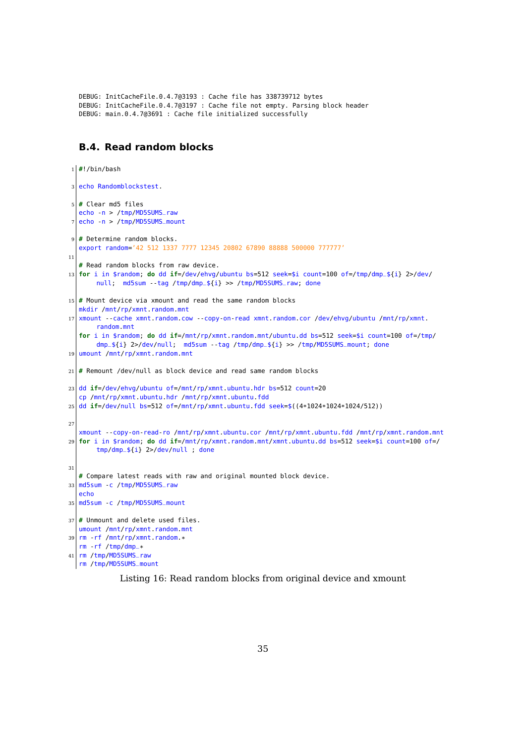```
DEBUG: InitCacheFile.0.4.7@3193 : Cache file has 338739712 bytes
DEBUG: InitCacheFile.0.4.7@3197 : Cache file not empty. Parsing block header
DEBUG: main.0.4.7@3691 : Cache file initialized successfully
```
#### <span id="page-36-0"></span>**B.4. Read random blocks**

```
1 #!/bin/bash
3 echo Randomblockstest.
5 # Clear md5 files
  echo -n > /tmp/MD5SUMS_raw
7 echo -n > /tmp/MD5SUMS_mount
9 # Determine random blocks.
  export random='42 512 1337 7777 12345 20802 67890 88888 500000 777777'
11
  # Read random blocks from raw device.
13 for i in $random; do dd if=/dev/ehvg/ubuntu bs=512 seek=$i count=100 of=/tmp/dmp_${i} 2>/dev/
       null; md5sum --tag /tmp/dmp_${i} >> /tmp/MD5SUMS_raw; done
15 # Mount device via xmount and read the same random blocks
  mkdir /mnt/rp/xmnt.random.mnt
17 xmount --cache xmnt.random.cow --copy-on-read xmnt.random.cor /dev/ehvg/ubuntu /mnt/rp/xmnt.
       random.mnt
  for i in $random; do dd if=/mnt/rp/xmnt.random.mnt/ubuntu.dd bs=512 seek=$i count=100 of=/tmp/
       dmp_${i} 2>/dev/null; md5sum --tag /tmp/dmp_${i} >> /tmp/MD5SUMS_mount; done
19 umount /mnt/rp/xmnt.random.mnt
21 # Remount /dev/null as block device and read same random blocks
23 dd if=/dev/ehvg/ubuntu of=/mnt/rp/xmnt.ubuntu.hdr bs=512 count=20
  cp /mnt/rp/xmnt.ubuntu.hdr /mnt/rp/xmnt.ubuntu.fdd
25 dd if=/dev/null bs=512 of=/mnt/rp/xmnt.ubuntu.fdd seek=$((4*1024*1024*1024/512))
27
   xmount --copy-on-read-ro /mnt/rp/xmnt.ubuntu.cor /mnt/rp/xmnt.ubuntu.fdd /mnt/rp/xmnt.random.mnt
29 for i in $random; do dd if=/mnt/rp/xmnt.random.mnt/xmnt.ubuntu.dd bs=512 seek=$i count=100 of=/
       tmp/dmp_${i} 2>/dev/null ; done
31
  # Compare latest reads with raw and original mounted block device.
33 md5sum -c /tmp/MD5SUMS_raw
  echo
35 md5sum -c /tmp/MD5SUMS_mount
37 # Unmount and delete used files.
  umount /mnt/rp/xmnt.random.mnt
39 rm -rf /mnt/rp/xmnt.random.*
  rm -rf /tmp/dmp_*
41 rm /tmp/MD5SUMS_raw
  rm /tmp/MD5SUMS_mount
```
Listing 16: Read random blocks from original device and xmount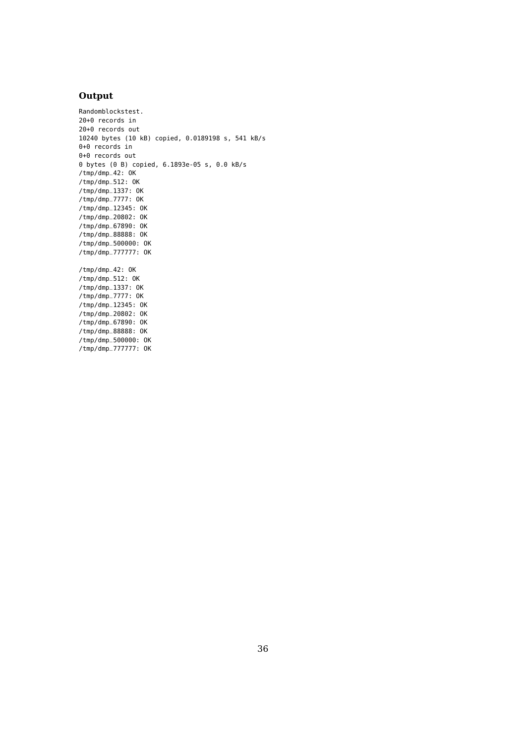### **Output**

/tmp/dmp\_777777: OK

Randomblockstest. 20+0 records in 20+0 records out 10240 bytes (10 kB) copied, 0.0189198 s, 541 kB/s 0+0 records in 0+0 records out 0 bytes (0 B) copied, 6.1893e-05 s, 0.0 kB/s /tmp/dmp\_42: OK /tmp/dmp\_512: OK /tmp/dmp\_1337: OK /tmp/dmp\_7777: OK /tmp/dmp\_12345: OK /tmp/dmp\_20802: OK /tmp/dmp\_67890: OK /tmp/dmp\_88888: OK /tmp/dmp\_500000: OK /tmp/dmp\_777777: OK /tmp/dmp\_42: OK /tmp/dmp\_512: OK /tmp/dmp\_1337: OK /tmp/dmp\_7777: OK /tmp/dmp\_12345: OK /tmp/dmp\_20802: OK /tmp/dmp\_67890: OK /tmp/dmp\_88888: OK /tmp/dmp\_500000: OK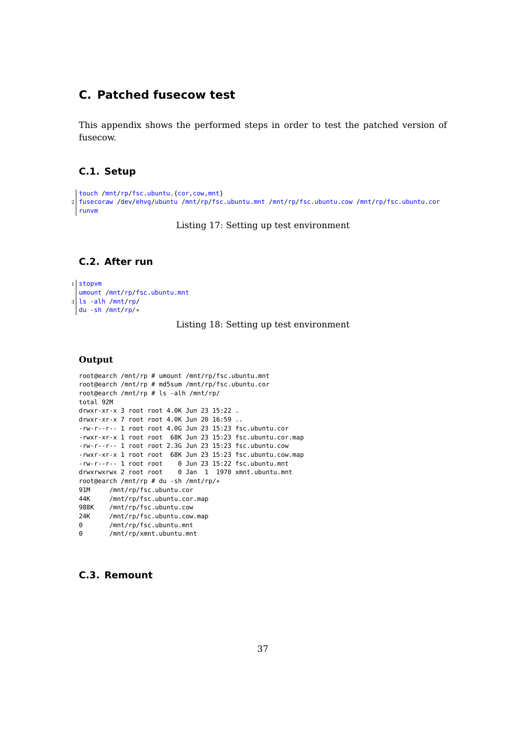# <span id="page-38-0"></span>**C. Patched fusecow test**

This appendix shows the performed steps in order to test the patched version of fusecow.

### <span id="page-38-1"></span>**C.1. Setup**

```
touch /mnt/rp/fsc.ubuntu.{cor,cow,mnt}
2 fusecoraw /dev/ehvg/ubuntu /mnt/rp/fsc.ubuntu.mnt /mnt/rp/fsc.ubuntu.cow /mnt/rp/fsc.ubuntu.cor
 runvm
```
Listing 17: Setting up test environment

### <span id="page-38-2"></span>**C.2. After run**

```
1 stopvm
  umount /mnt/rp/fsc.ubuntu.mnt
3 ls -alh /mnt/rp/
 du -sh /mnt/rp/*
```
#### Listing 18: Setting up test environment

#### **Output**

```
root@earch /mnt/rp # umount /mnt/rp/fsc.ubuntu.mnt
root@earch /mnt/rp # md5sum /mnt/rp/fsc.ubuntu.cor
root@earch /mnt/rp # ls -alh /mnt/rp/
total 92M
drwxr-xr-x 3 root root 4.0K Jun 23 15:22 .
drwxr-xr-x 7 root root 4.0K Jun 20 16:59 ..
-rw-r--r-- 1 root root 4.0G Jun 23 15:23 fsc.ubuntu.cor
-rwxr-xr-x 1 root root 68K Jun 23 15:23 fsc.ubuntu.cor.map
-rw-r--r-- 1 root root 2.3G Jun 23 15:23 fsc.ubuntu.cow
-rwxr-xr-x 1 root root 68K Jun 23 15:23 fsc.ubuntu.cow.map
-rw-r--r-- 1 root root 0 Jun 23 15:22 fsc.ubuntu.mnt
drwxrwxrwx 2 root root 0 Jan 1 1970 xmnt.ubuntu.mnt
root@earch /mnt/rp # du -sh /mnt/rp/*
91M /mnt/rp/fsc.ubuntu.cor<br>44K /mnt/rp/fsc.ubuntu.cor
44K /mnt/rp/fsc.ubuntu.cor.map<br>988K /mnt/rn/fsc.ubuntu.cow
      /mnt/rp/fsc.ubuntu.cow
24K /mnt/rp/fsc.ubuntu.cow.map
0 /mnt/rp/fsc.ubuntu.mnt
0 /mnt/rp/xmnt.ubuntu.mnt
```
### <span id="page-38-3"></span>**C.3. Remount**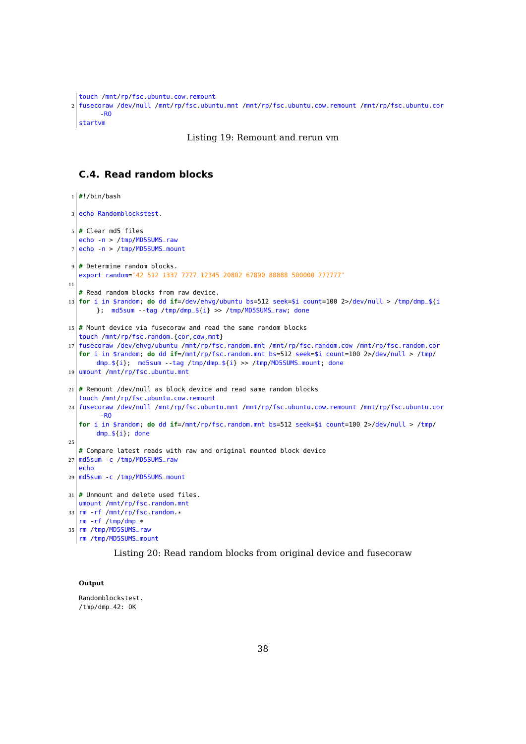```
touch /mnt/rp/fsc.ubuntu.cow.remount
2 fusecoraw /dev/null /mnt/rp/fsc.ubuntu.mnt /mnt/rp/fsc.ubuntu.cow.remount /mnt/rp/fsc.ubuntu.cor
       -RO
  startvm
```
#### Listing 19: Remount and rerun vm

#### <span id="page-39-0"></span>**C.4. Read random blocks**

```
1 #!/bin/bash
3 echo Randomblockstest.
5 # Clear md5 files
   echo -n > /tmp/MD5SUMS_raw
7 echo -n > /tmp/MD5SUMS_mount
9 # Determine random blocks.
   export random='42 512 1337 7777 12345 20802 67890 88888 500000 777777'
11
   # Read random blocks from raw device.
13 for i in $random; do dd if=/dev/ehvg/ubuntu bs=512 seek=$i count=100 2>/dev/null > /tmp/dmp_${i
       }; md5sum --tag /tmp/dmp_${i} >> /tmp/MD5SUMS_raw; done
15 # Mount device via fusecoraw and read the same random blocks
   touch /mnt/rp/fsc.random.{cor,cow,mnt}
17 fusecoraw /dev/ehvg/ubuntu /mnt/rp/fsc.random.mnt /mnt/rp/fsc.random.cow /mnt/rp/fsc.random.cor
   for i in $random; do dd if=/mnt/rp/fsc.random.mnt bs=512 seek=$i count=100 2>/dev/null > /tmp/
       dmp_${i}; md5sum --tag /tmp/dmp_${i} >> /tmp/MD5SUMS_mount; done
19 umount /mnt/rp/fsc.ubuntu.mnt
21 \mid # Remount /dev/null as block device and read same random blocks
   touch /mnt/rp/fsc.ubuntu.cow.remount
23 fusecoraw /dev/null /mnt/rp/fsc.ubuntu.mnt /mnt/rp/fsc.ubuntu.cow.remount /mnt/rp/fsc.ubuntu.cor
        -RO
   for i in $random; do dd if=/mnt/rp/fsc.random.mnt bs=512 seek=$i count=100 2>/dev/null > /tmp/
       dmp_${i}; done
25
   # Compare latest reads with raw and original mounted block device
27 md5sum - c /tmp/MD5SUMS_raw
   echo
29 md5sum -c /tmp/MD5SUMS_mount
31 # Unmount and delete used files.
  umount /mnt/rp/fsc.random.mnt
33 rm -rf /mnt/rp/fsc.random.*
   rm -rf /tmp/dmp_*
35 rm /tmp/MD5SUMS_raw
  rm /tmp/MD5SUMS_mount
```
#### Listing 20: Read random blocks from original device and fusecoraw

#### **Output**

Randomblockstest. /tmp/dmp\_42: OK